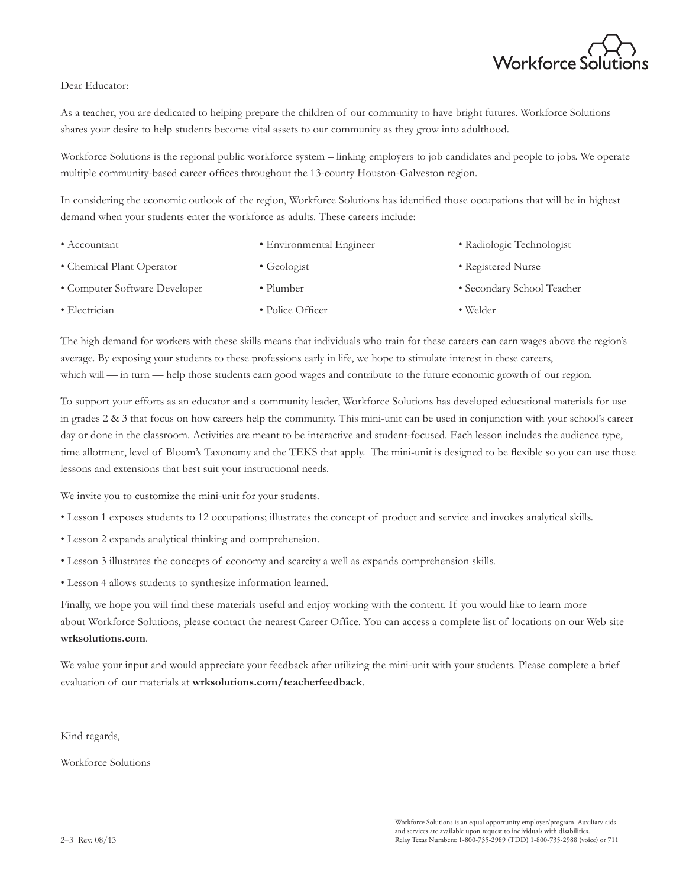

## Dear Educator:

As a teacher, you are dedicated to helping prepare the children of our community to have bright futures. Workforce Solutions shares your desire to help students become vital assets to our community as they grow into adulthood.

Workforce Solutions is the regional public workforce system – linking employers to job candidates and people to jobs. We operate multiple community-based career offices throughout the 13-county Houston-Galveston region.

In considering the economic outlook of the region, Workforce Solutions has identified those occupations that will be in highest demand when your students enter the workforce as adults. These careers include:

| $\bullet$ Accountant          | • Environmental Engineer | • Radiologic Technologist  |
|-------------------------------|--------------------------|----------------------------|
| • Chemical Plant Operator     | $\bullet$ Geologist      | • Registered Nurse         |
| • Computer Software Developer | • Plumber                | • Secondary School Teacher |
| $\bullet$ Electrician         | • Police Officer         | $\bullet$ Welder           |

The high demand for workers with these skills means that individuals who train for these careers can earn wages above the region's average. By exposing your students to these professions early in life, we hope to stimulate interest in these careers, which will — in turn — help those students earn good wages and contribute to the future economic growth of our region.

To support your efforts as an educator and a community leader, Workforce Solutions has developed educational materials for use in grades 2 & 3 that focus on how careers help the community. This mini-unit can be used in conjunction with your school's career day or done in the classroom. Activities are meant to be interactive and student-focused. Each lesson includes the audience type, time allotment, level of Bloom's Taxonomy and the TEKS that apply. The mini-unit is designed to be flexible so you can use those lessons and extensions that best suit your instructional needs.

We invite you to customize the mini-unit for your students.

- Lesson 1 exposes students to 12 occupations; illustrates the concept of product and service and invokes analytical skills.
- Lesson 2 expands analytical thinking and comprehension.
- Lesson 3 illustrates the concepts of economy and scarcity a well as expands comprehension skills.
- Lesson 4 allows students to synthesize information learned.

Finally, we hope you will find these materials useful and enjoy working with the content. If you would like to learn more about Workforce Solutions, please contact the nearest Career Office. You can access a complete list of locations on our Web site **wrksolutions.com**.

We value your input and would appreciate your feedback after utilizing the mini-unit with your students. Please complete a brief evaluation of our materials at **wrksolutions.com/teacherfeedback**.

Kind regards,

Workforce Solutions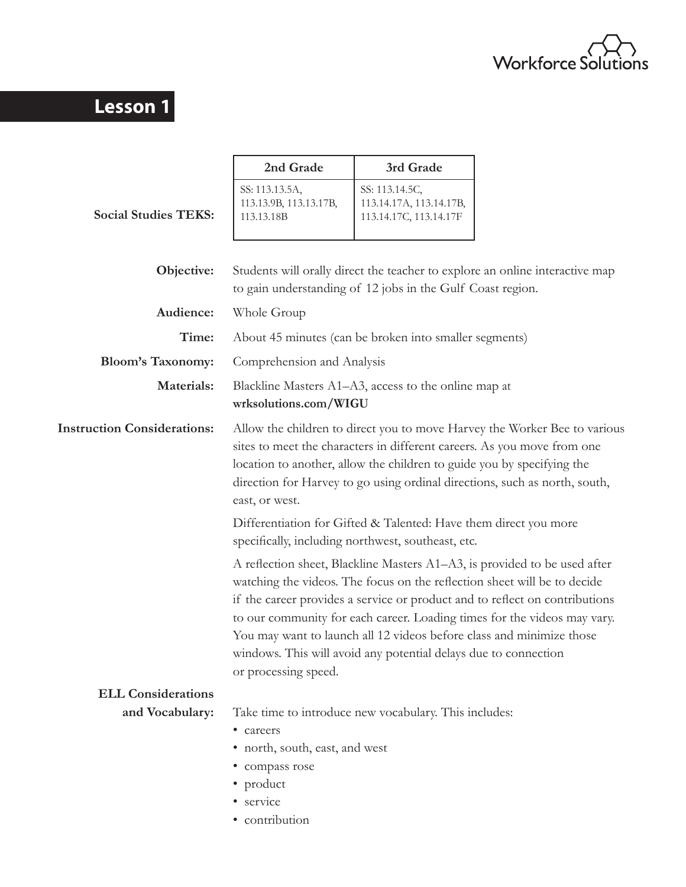

# **Lesson 1**

|                                    | 2nd Grade                                                                               | 3rd Grade                                                                                                                                                                                                                                                                                                                                                                                                                                                   |  |
|------------------------------------|-----------------------------------------------------------------------------------------|-------------------------------------------------------------------------------------------------------------------------------------------------------------------------------------------------------------------------------------------------------------------------------------------------------------------------------------------------------------------------------------------------------------------------------------------------------------|--|
| <b>Social Studies TEKS:</b>        | SS: 113.13.5A,<br>113.13.9B, 113.13.17B,<br>113.13.18B                                  | SS: 113.14.5C,<br>113.14.17A, 113.14.17B,<br>113.14.17C, 113.14.17F                                                                                                                                                                                                                                                                                                                                                                                         |  |
|                                    |                                                                                         |                                                                                                                                                                                                                                                                                                                                                                                                                                                             |  |
| Objective:                         |                                                                                         | Students will orally direct the teacher to explore an online interactive map<br>to gain understanding of 12 jobs in the Gulf Coast region.                                                                                                                                                                                                                                                                                                                  |  |
| Audience:                          | Whole Group                                                                             |                                                                                                                                                                                                                                                                                                                                                                                                                                                             |  |
| Time:                              |                                                                                         | About 45 minutes (can be broken into smaller segments)                                                                                                                                                                                                                                                                                                                                                                                                      |  |
| <b>Bloom's Taxonomy:</b>           | Comprehension and Analysis                                                              |                                                                                                                                                                                                                                                                                                                                                                                                                                                             |  |
| Materials:                         | Blackline Masters A1–A3, access to the online map at<br>wrksolutions.com/WIGU           |                                                                                                                                                                                                                                                                                                                                                                                                                                                             |  |
| <b>Instruction Considerations:</b> | east, or west.                                                                          | Allow the children to direct you to move Harvey the Worker Bee to various<br>sites to meet the characters in different careers. As you move from one<br>location to another, allow the children to guide you by specifying the<br>direction for Harvey to go using ordinal directions, such as north, south,                                                                                                                                                |  |
|                                    |                                                                                         | Differentiation for Gifted & Talented: Have them direct you more<br>specifically, including northwest, southeast, etc.                                                                                                                                                                                                                                                                                                                                      |  |
|                                    | or processing speed.                                                                    | A reflection sheet, Blackline Masters A1–A3, is provided to be used after<br>watching the videos. The focus on the reflection sheet will be to decide<br>if the career provides a service or product and to reflect on contributions<br>to our community for each career. Loading times for the videos may vary.<br>You may want to launch all 12 videos before class and minimize those<br>windows. This will avoid any potential delays due to connection |  |
| <b>ELL Considerations</b>          |                                                                                         |                                                                                                                                                                                                                                                                                                                                                                                                                                                             |  |
| and Vocabulary:                    | • careers<br>• north, south, east, and west<br>· compass rose<br>• product<br>• service | Take time to introduce new vocabulary. This includes:                                                                                                                                                                                                                                                                                                                                                                                                       |  |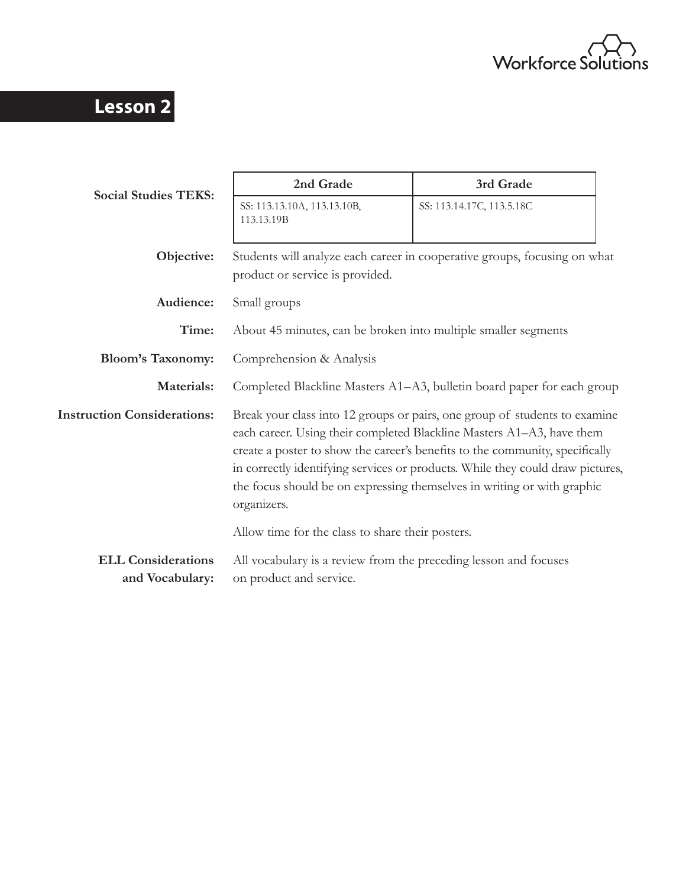

# **Lesson 2**

|                                              | 2nd Grade                                                                                                                                                                                                                                                                                                                                                                                                       | 3rd Grade                 |  |  |
|----------------------------------------------|-----------------------------------------------------------------------------------------------------------------------------------------------------------------------------------------------------------------------------------------------------------------------------------------------------------------------------------------------------------------------------------------------------------------|---------------------------|--|--|
| <b>Social Studies TEKS:</b>                  | SS: 113.13.10A, 113.13.10B,<br>113.13.19B                                                                                                                                                                                                                                                                                                                                                                       | SS: 113.14.17C, 113.5.18C |  |  |
| Objective:                                   | Students will analyze each career in cooperative groups, focusing on what<br>product or service is provided.                                                                                                                                                                                                                                                                                                    |                           |  |  |
| Audience:                                    | Small groups                                                                                                                                                                                                                                                                                                                                                                                                    |                           |  |  |
| Time:                                        | About 45 minutes, can be broken into multiple smaller segments                                                                                                                                                                                                                                                                                                                                                  |                           |  |  |
| <b>Bloom's Taxonomy:</b>                     | Comprehension & Analysis                                                                                                                                                                                                                                                                                                                                                                                        |                           |  |  |
| Materials:                                   | Completed Blackline Masters A1–A3, bulletin board paper for each group                                                                                                                                                                                                                                                                                                                                          |                           |  |  |
| <b>Instruction Considerations:</b>           | Break your class into 12 groups or pairs, one group of students to examine<br>each career. Using their completed Blackline Masters A1-A3, have them<br>create a poster to show the career's benefits to the community, specifically<br>in correctly identifying services or products. While they could draw pictures,<br>the focus should be on expressing themselves in writing or with graphic<br>organizers. |                           |  |  |
|                                              | Allow time for the class to share their posters.                                                                                                                                                                                                                                                                                                                                                                |                           |  |  |
| <b>ELL Considerations</b><br>and Vocabulary: | All vocabulary is a review from the preceding lesson and focuses<br>on product and service.                                                                                                                                                                                                                                                                                                                     |                           |  |  |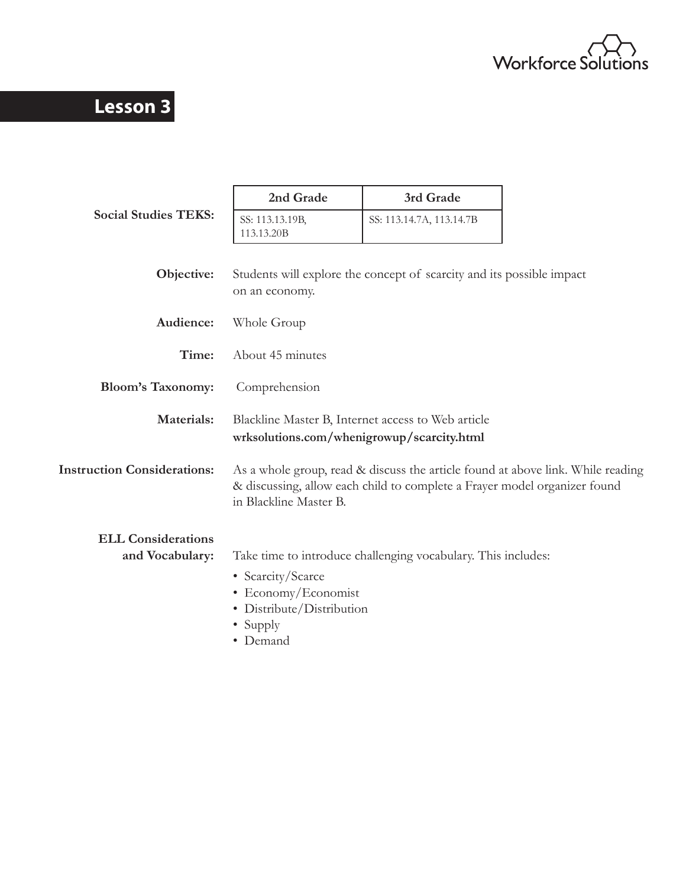

# **Lesson 3**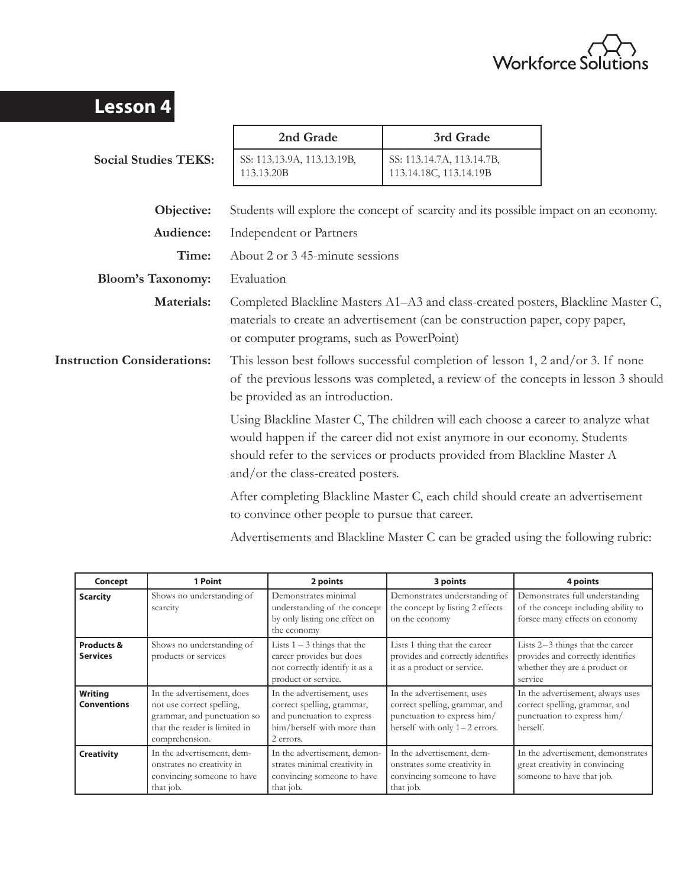

| <b>Lesson 4</b>                    |                                                                                                                                                                                                                                                                                 |                                                                                |  |
|------------------------------------|---------------------------------------------------------------------------------------------------------------------------------------------------------------------------------------------------------------------------------------------------------------------------------|--------------------------------------------------------------------------------|--|
|                                    | 2nd Grade                                                                                                                                                                                                                                                                       | 3rd Grade                                                                      |  |
| <b>Social Studies TEKS:</b>        | SS: 113.13.9A, 113.13.19B,<br>113.13.20B                                                                                                                                                                                                                                        | SS: 113.14.7A, 113.14.7B,<br>113.14.18C, 113.14.19B                            |  |
| Objective:                         | Students will explore the concept of scarcity and its possible impact on an economy.                                                                                                                                                                                            |                                                                                |  |
| Audience:                          | Independent or Partners                                                                                                                                                                                                                                                         |                                                                                |  |
| Time:                              | About 2 or 3 45-minute sessions                                                                                                                                                                                                                                                 |                                                                                |  |
| <b>Bloom's Taxonomy:</b>           | Evaluation                                                                                                                                                                                                                                                                      |                                                                                |  |
| Materials:                         | Completed Blackline Masters A1-A3 and class-created posters, Blackline Master C,<br>materials to create an advertisement (can be construction paper, copy paper,<br>or computer programs, such as PowerPoint)                                                                   |                                                                                |  |
| <b>Instruction Considerations:</b> | This lesson best follows successful completion of lesson 1, 2 and/or 3. If none<br>of the previous lessons was completed, a review of the concepts in lesson 3 should<br>be provided as an introduction.                                                                        |                                                                                |  |
|                                    | Using Blackline Master C, The children will each choose a career to analyze what<br>would happen if the career did not exist anymore in our economy. Students<br>should refer to the services or products provided from Blackline Master A<br>and/or the class-created posters. |                                                                                |  |
|                                    | to convince other people to pursue that career.                                                                                                                                                                                                                                 | After completing Blackline Master C, each child should create an advertisement |  |

Advertisements and Blackline Master C can be graded using the following rubric:

| Concept                       | 1 Point                                                                                                                                   | 2 points                                                                                                                          | 3 points                                                                                                                       | 4 points                                                                                                          |
|-------------------------------|-------------------------------------------------------------------------------------------------------------------------------------------|-----------------------------------------------------------------------------------------------------------------------------------|--------------------------------------------------------------------------------------------------------------------------------|-------------------------------------------------------------------------------------------------------------------|
| <b>Scarcity</b>               | Shows no understanding of<br>scarcity                                                                                                     | Demonstrates minimal<br>understanding of the concept<br>by only listing one effect on<br>the economy                              | Demonstrates understanding of<br>the concept by listing 2 effects<br>on the economy                                            | Demonstrates full understanding<br>of the concept including ability to<br>forsee many effects on economy          |
| Products &<br><b>Services</b> | Shows no understanding of<br>products or services                                                                                         | Lists $1 - 3$ things that the<br>career provides but does<br>not correctly identify it as a<br>product or service.                | Lists 1 thing that the career<br>provides and correctly identifies<br>it as a product or service.                              | Lists 2-3 things that the career<br>provides and correctly identifies<br>whether they are a product or<br>service |
| Writing<br><b>Conventions</b> | In the advertisement, does<br>not use correct spelling,<br>grammar, and punctuation so<br>that the reader is limited in<br>comprehension. | In the advertisement, uses<br>correct spelling, grammar,<br>and punctuation to express<br>him/herself with more than<br>2 errors. | In the advertisement, uses<br>correct spelling, grammar, and<br>punctuation to express him/<br>herself with only $1-2$ errors. | In the advertisement, always uses<br>correct spelling, grammar, and<br>punctuation to express him/<br>herself.    |
| <b>Creativity</b>             | In the advertisement, dem-<br>onstrates no creativity in<br>convincing someone to have<br>that job.                                       | In the advertisement, demon-<br>strates minimal creativity in<br>convincing someone to have<br>that job.                          | In the advertisement, dem-<br>onstrates some creativity in<br>convincing someone to have<br>that job.                          | In the advertisement, demonstrates<br>great creativity in convincing<br>someone to have that job.                 |